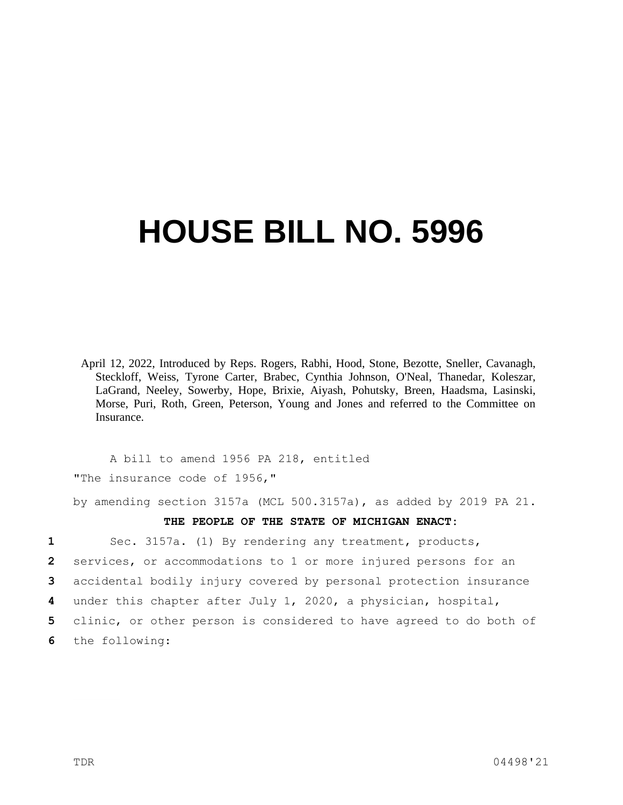## **HOUSE BILL NO. 5996**

April 12, 2022, Introduced by Reps. Rogers, Rabhi, Hood, Stone, Bezotte, Sneller, Cavanagh, Steckloff, Weiss, Tyrone Carter, Brabec, Cynthia Johnson, O'Neal, Thanedar, Koleszar, LaGrand, Neeley, Sowerby, Hope, Brixie, Aiyash, Pohutsky, Breen, Haadsma, Lasinski, Morse, Puri, Roth, Green, Peterson, Young and Jones and referred to the Committee on Insurance.

A bill to amend 1956 PA 218, entitled "The insurance code of 1956,"

by amending section 3157a (MCL 500.3157a), as added by 2019 PA 21.

## **THE PEOPLE OF THE STATE OF MICHIGAN ENACT:**

 Sec. 3157a. (1) By rendering any treatment, products, services, or accommodations to 1 or more injured persons for an accidental bodily injury covered by personal protection insurance under this chapter after July 1, 2020, a physician, hospital, clinic, or other person is considered to have agreed to do both of the following: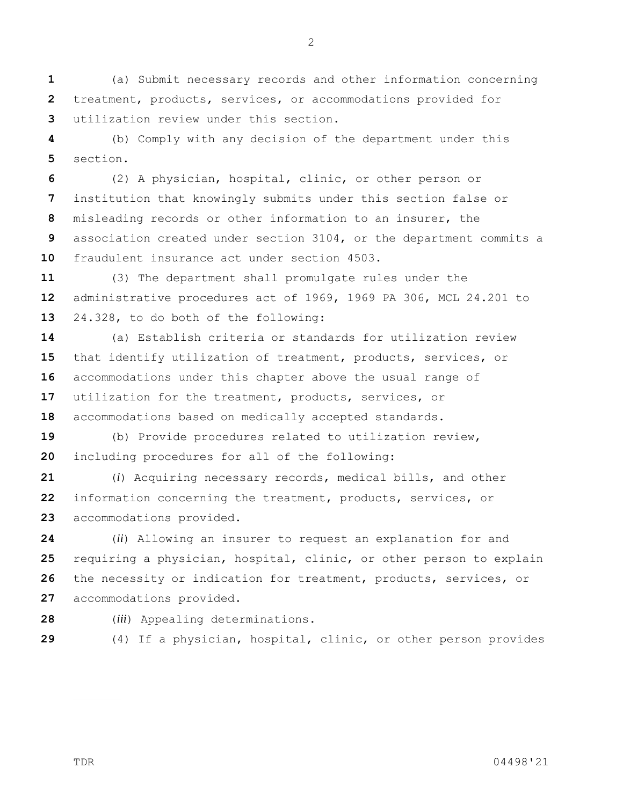(a) Submit necessary records and other information concerning treatment, products, services, or accommodations provided for utilization review under this section.

 (b) Comply with any decision of the department under this section.

 (2) A physician, hospital, clinic, or other person or institution that knowingly submits under this section false or misleading records or other information to an insurer, the association created under section 3104, or the department commits a fraudulent insurance act under section 4503.

 (3) The department shall promulgate rules under the administrative procedures act of 1969, 1969 PA 306, MCL 24.201 to 24.328, to do both of the following:

 (a) Establish criteria or standards for utilization review that identify utilization of treatment, products, services, or accommodations under this chapter above the usual range of utilization for the treatment, products, services, or accommodations based on medically accepted standards.

 (b) Provide procedures related to utilization review, including procedures for all of the following:

 (*i*) Acquiring necessary records, medical bills, and other information concerning the treatment, products, services, or accommodations provided.

 (*ii*) Allowing an insurer to request an explanation for and requiring a physician, hospital, clinic, or other person to explain the necessity or indication for treatment, products, services, or accommodations provided.

- 
- (*iii*) Appealing determinations.
- 

(4) If a physician, hospital, clinic, or other person provides